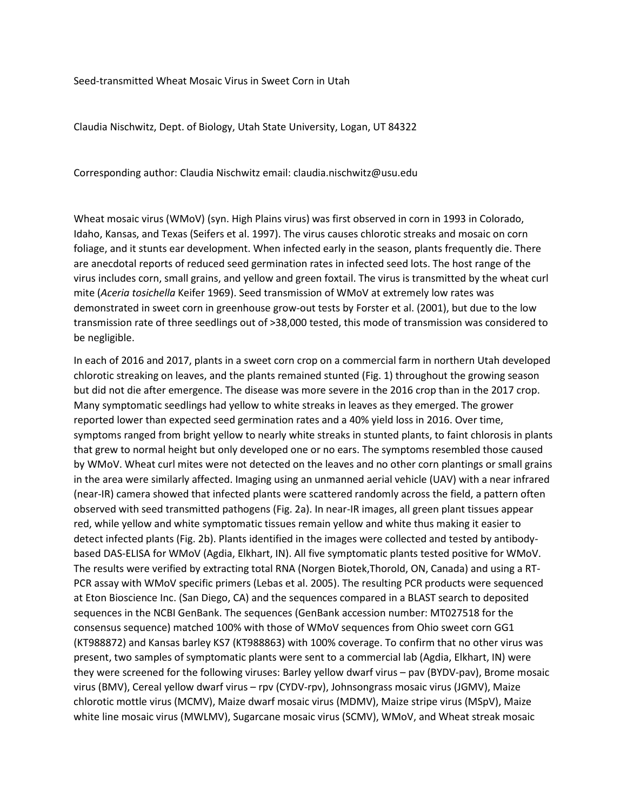Seed-transmitted Wheat Mosaic Virus in Sweet Corn in Utah

Claudia Nischwitz, Dept. of Biology, Utah State University, Logan, UT 84322

Corresponding author: Claudia Nischwitz email: claudia.nischwitz@usu.edu

Wheat mosaic virus (WMoV) (syn. High Plains virus) was first observed in corn in 1993 in Colorado, Idaho, Kansas, and Texas (Seifers et al. 1997). The virus causes chlorotic streaks and mosaic on corn foliage, and it stunts ear development. When infected early in the season, plants frequently die. There are anecdotal reports of reduced seed germination rates in infected seed lots. The host range of the virus includes corn, small grains, and yellow and green foxtail. The virus is transmitted by the wheat curl mite (*Aceria tosichella* Keifer 1969). Seed transmission of WMoV at extremely low rates was demonstrated in sweet corn in greenhouse grow-out tests by Forster et al. (2001), but due to the low transmission rate of three seedlings out of >38,000 tested, this mode of transmission was considered to be negligible.

In each of 2016 and 2017, plants in a sweet corn crop on a commercial farm in northern Utah developed chlorotic streaking on leaves, and the plants remained stunted (Fig. 1) throughout the growing season but did not die after emergence. The disease was more severe in the 2016 crop than in the 2017 crop. Many symptomatic seedlings had yellow to white streaks in leaves as they emerged. The grower reported lower than expected seed germination rates and a 40% yield loss in 2016. Over time, symptoms ranged from bright yellow to nearly white streaks in stunted plants, to faint chlorosis in plants that grew to normal height but only developed one or no ears. The symptoms resembled those caused by WMoV. Wheat curl mites were not detected on the leaves and no other corn plantings or small grains in the area were similarly affected. Imaging using an unmanned aerial vehicle (UAV) with a near infrared (near-IR) camera showed that infected plants were scattered randomly across the field, a pattern often observed with seed transmitted pathogens (Fig. 2a). In near-IR images, all green plant tissues appear red, while yellow and white symptomatic tissues remain yellow and white thus making it easier to detect infected plants (Fig. 2b). Plants identified in the images were collected and tested by antibodybased DAS-ELISA for WMoV (Agdia, Elkhart, IN). All five symptomatic plants tested positive for WMoV. The results were verified by extracting total RNA (Norgen Biotek,Thorold, ON, Canada) and using a RT-PCR assay with WMoV specific primers (Lebas et al. 2005). The resulting PCR products were sequenced at Eton Bioscience Inc. (San Diego, CA) and the sequences compared in a BLAST search to deposited sequences in the NCBI GenBank. The sequences (GenBank accession number: MT027518 for the consensus sequence) matched 100% with those of WMoV sequences from Ohio sweet corn GG1 (KT988872) and Kansas barley KS7 (KT988863) with 100% coverage. To confirm that no other virus was present, two samples of symptomatic plants were sent to a commercial lab (Agdia, Elkhart, IN) were they were screened for the following viruses: Barley yellow dwarf virus – pav (BYDV-pav), Brome mosaic virus (BMV), Cereal yellow dwarf virus – rpv (CYDV-rpv), Johnsongrass mosaic virus (JGMV), Maize chlorotic mottle virus (MCMV), Maize dwarf mosaic virus (MDMV), Maize stripe virus (MSpV), Maize white line mosaic virus (MWLMV), Sugarcane mosaic virus (SCMV), WMoV, and Wheat streak mosaic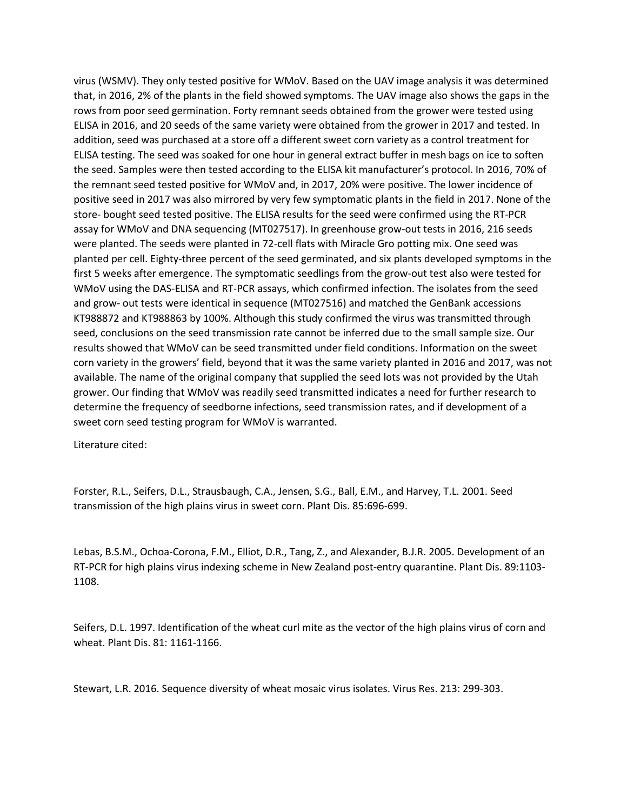virus (WSMV). They only tested positive for WMoV. Based on the UAV image analysis it was determined that, in 2016, 2% of the plants in the field showed symptoms. The UAV image also shows the gaps in the rows from poor seed germination. Forty remnant seeds obtained from the grower were tested using ELISA in 2016, and 20 seeds of the same variety were obtained from the grower in 2017 and tested. In addition, seed was purchased at a store off a different sweet corn variety as a control treatment for ELISA testing. The seed was soaked for one hour in general extract buffer in mesh bags on ice to soften the seed. Samples were then tested according to the ELISA kit manufacturer's protocol. In 2016, 70% of the remnant seed tested positive for WMoV and, in 2017, 20% were positive. The lower incidence of positive seed in 2017 was also mirrored by very few symptomatic plants in the field in 2017. None of the store- bought seed tested positive. The ELISA results for the seed were confirmed using the RT-PCR assay for WMoV and DNA sequencing (MT027517). In greenhouse grow-out tests in 2016, 216 seeds were planted. The seeds were planted in 72-cell flats with Miracle Gro potting mix. One seed was planted per cell. Eighty-three percent of the seed germinated, and six plants developed symptoms in the first 5 weeks after emergence. The symptomatic seedlings from the grow-out test also were tested for WMoV using the DAS-ELISA and RT-PCR assays, which confirmed infection. The isolates from the seed and grow- out tests were identical in sequence (MT027516) and matched the GenBank accessions KT988872 and KT988863 by 100%. Although this study confirmed the virus was transmitted through seed, conclusions on the seed transmission rate cannot be inferred due to the small sample size. Our results showed that WMoV can be seed transmitted under field conditions. Information on the sweet corn variety in the growers' field, beyond that it was the same variety planted in 2016 and 2017, was not available. The name of the original company that supplied the seed lots was not provided by the Utah grower. Our finding that WMoV was readily seed transmitted indicates a need for further research to determine the frequency of seedborne infections, seed transmission rates, and if development of a sweet corn seed testing program for WMoV is warranted.

Literature cited:

Forster, R.L., Seifers, D.L., Strausbaugh, C.A., Jensen, S.G., Ball, E.M., and Harvey, T.L. 2001. Seed transmission of the high plains virus in sweet corn. Plant Dis. 85:696-699.

Lebas, B.S.M., Ochoa-Corona, F.M., Elliot, D.R., Tang, Z., and Alexander, B.J.R. 2005. Development of an RT-PCR for high plains virus indexing scheme in New Zealand post-entry quarantine. Plant Dis. 89:1103- 1108.

Seifers, D.L. 1997. Identification of the wheat curl mite as the vector of the high plains virus of corn and wheat. Plant Dis. 81: 1161-1166.

Stewart, L.R. 2016. Sequence diversity of wheat mosaic virus isolates. Virus Res. 213: 299-303.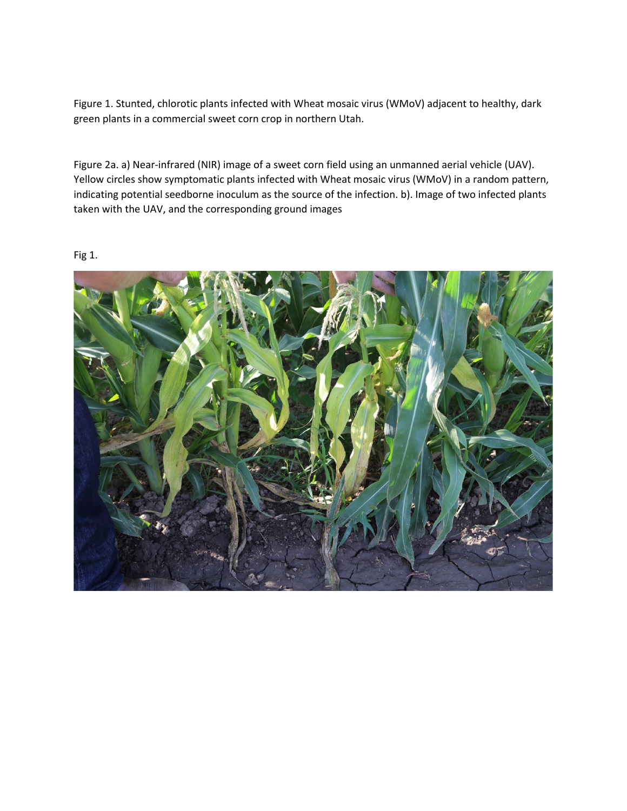Figure 1. Stunted, chlorotic plants infected with Wheat mosaic virus (WMoV) adjacent to healthy, dark green plants in a commercial sweet corn crop in northern Utah.

Figure 2a. a) Near-infrared (NIR) image of a sweet corn field using an unmanned aerial vehicle (UAV). Yellow circles show symptomatic plants infected with Wheat mosaic virus (WMoV) in a random pattern, indicating potential seedborne inoculum as the source of the infection. b). Image of two infected plants taken with the UAV, and the corresponding ground images

## Fig 1.